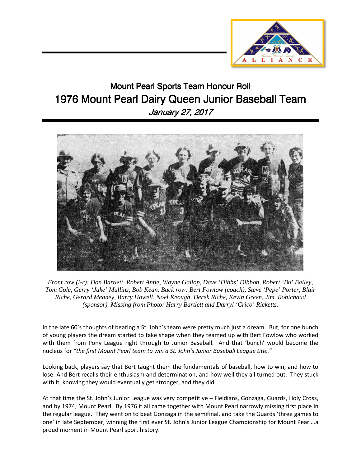

## Mount Pearl Sports Team Honour Roll 1976 Mount Pearl Dairy Queen Junior Baseball Team January 27, 2017



*Front row (l-r): Don Bartlett, Robert Antle, Wayne Gallop, Dave 'Dibbs' Dibbon, Robert 'Bo' Bailey, Tom Cole, Gerry 'Jake' Mullins, Bob Kean. Back row: Bert Fowlow (coach), Steve 'Pepe' Porter, Blair Riche, Gerard Meaney, Barry Howell, Noel Keough, Derek Riche, Kevin Green, Jim Robichaud (sponsor). Missing from Photo: Harry Bartlett and Darryl 'Crico' Ricketts.* 

In the late 60's thoughts of beating a St. John's team were pretty much just a dream. But, for one bunch of young players the dream started to take shape when they teamed up with Bert Fowlow who worked with them from Pony League right through to Junior Baseball. And that 'bunch' would become the nucleus for *"the first Mount Pearl team to win a St. John's Junior Baseball League title."* 

Looking back, players say that Bert taught them the fundamentals of baseball, how to win, and how to lose. And Bert recalls their enthusiasm and determination, and how well they all turned out. They stuck with it, knowing they would eventually get stronger, and they did.

At that time the St. John's Junior League was very competitive – Fieldians, Gonzaga, Guards, Holy Cross, and by 1974, Mount Pearl. By 1976 it all came together with Mount Pearl narrowly missing first place in the regular league. They went on to beat Gonzaga in the semifinal, and take the Guards 'three games to one' in late September, winning the first ever St. John's Junior League Championship for Mount Pearl…a proud moment in Mount Pearl sport history.